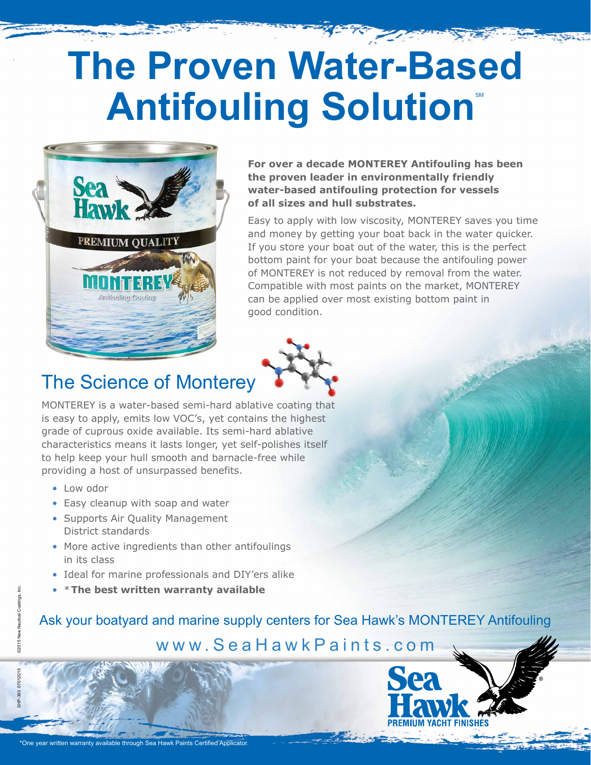## **The Proven Water-Based Antifouling Solution®**



**For over a decade MONTEREY Antifouling has been the proven leader in environmentally friendly water-based antifouling protection for vessels of all sizes and hull substrates.**

Easy to apply with low viscosity, MONTEREY saves you time and money by getting your boat back in the water quicker. If you store your boat out of the water, this is the perfect bottom paint for your boat because the antifouling power of MONTEREY is not reduced by removal from the water. Compatible with most paints on the market, MONTEREY can be applied over most existing bottom paint in good condition.



## The Science of Monterey

MONTEREY is a water-based semi-hard ablative coating that is easy to apply, emits low VOC's, yet contains the highest grade of cuprous oxide available. Its semi-hard ablative characteristics means it lasts longer, yet self-polishes itself to help keep your hull smooth and barnacle-free while providing a host of unsurpassed benefits.

- Low odor
- Easy cleanup with soap and water
- Supports Air Quality Management District standards
- More active ingredients than other antifoulings in its class
- Ideal for marine professionals and DIY'ers alike
- \***The best written warranty available**

Ask your boatyard and marine supply centers for Sea Hawk's MONTEREY Antifouling www.SeaHawkPaints.com